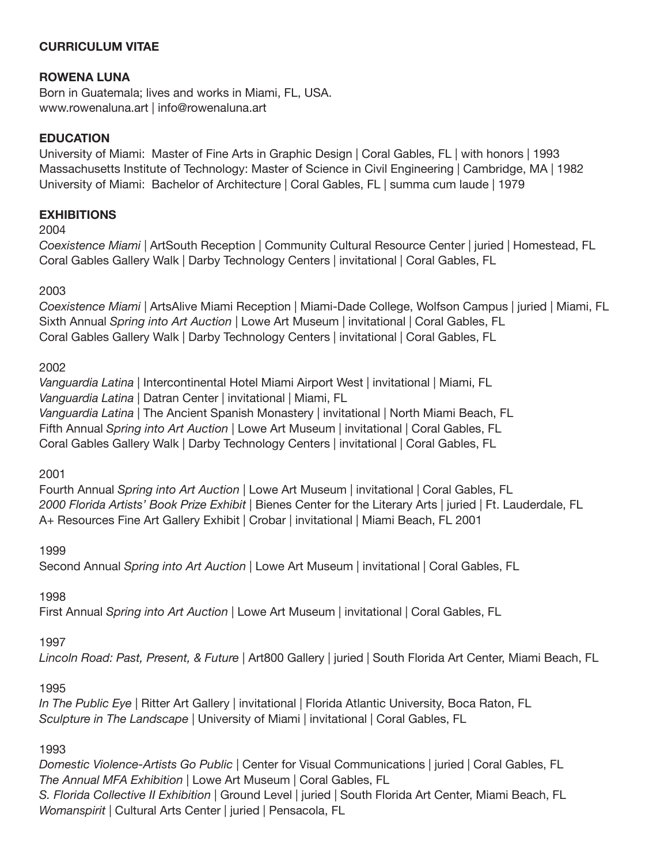# **CURRICULUM VITAE**

# **ROWENA LUNA**

Born in Guatemala; lives and works in Miami, FL, USA. www.rowenaluna.art | info@rowenaluna.art

### **EDUCATION**

University of Miami: Master of Fine Arts in Graphic Design | Coral Gables, FL | with honors | 1993 Massachusetts Institute of Technology: Master of Science in Civil Engineering | Cambridge, MA | 1982 University of Miami: Bachelor of Architecture | Coral Gables, FL | summa cum laude | 1979

#### **EXHIBITIONS**

2004

*Coexistence Miami* | ArtSouth Reception | Community Cultural Resource Center | juried | Homestead, FL Coral Gables Gallery Walk | Darby Technology Centers | invitational | Coral Gables, FL

#### 2003

*Coexistence Miami* | ArtsAlive Miami Reception | Miami-Dade College, Wolfson Campus | juried | Miami, FL Sixth Annual *Spring into Art Auction* | Lowe Art Museum | invitational | Coral Gables, FL Coral Gables Gallery Walk | Darby Technology Centers | invitational | Coral Gables, FL

#### 2002

*Vanguardia Latina* | Intercontinental Hotel Miami Airport West | invitational | Miami, FL *Vanguardia Latina* | Datran Center | invitational | Miami, FL *Vanguardia Latina* | The Ancient Spanish Monastery | invitational | North Miami Beach, FL Fifth Annual *Spring into Art Auction* | Lowe Art Museum | invitational | Coral Gables, FL Coral Gables Gallery Walk | Darby Technology Centers | invitational | Coral Gables, FL

2001

Fourth Annual *Spring into Art Auction* | Lowe Art Museum | invitational | Coral Gables, FL *2000 Florida Artists' Book Prize Exhibit* | Bienes Center for the Literary Arts | juried | Ft. Lauderdale, FL A+ Resources Fine Art Gallery Exhibit | Crobar | invitational | Miami Beach, FL 2001

1999

Second Annual *Spring into Art Auction* | Lowe Art Museum | invitational | Coral Gables, FL

#### 1998

First Annual *Spring into Art Auction* | Lowe Art Museum | invitational | Coral Gables, FL

#### 1997

*Lincoln Road: Past, Present, & Future* | Art800 Gallery | juried | South Florida Art Center, Miami Beach, FL

#### 1995

*In The Public Eye* | Ritter Art Gallery | invitational | Florida Atlantic University, Boca Raton, FL *Sculpture in The Landscape* | University of Miami | invitational | Coral Gables, FL

#### 1993

*Domestic Violence-Artists Go Public* | Center for Visual Communications | juried | Coral Gables, FL *The Annual MFA Exhibition* | Lowe Art Museum | Coral Gables, FL *S. Florida Collective II Exhibition* | Ground Level | juried | South Florida Art Center, Miami Beach, FL *Womanspirit* | Cultural Arts Center | juried | Pensacola, FL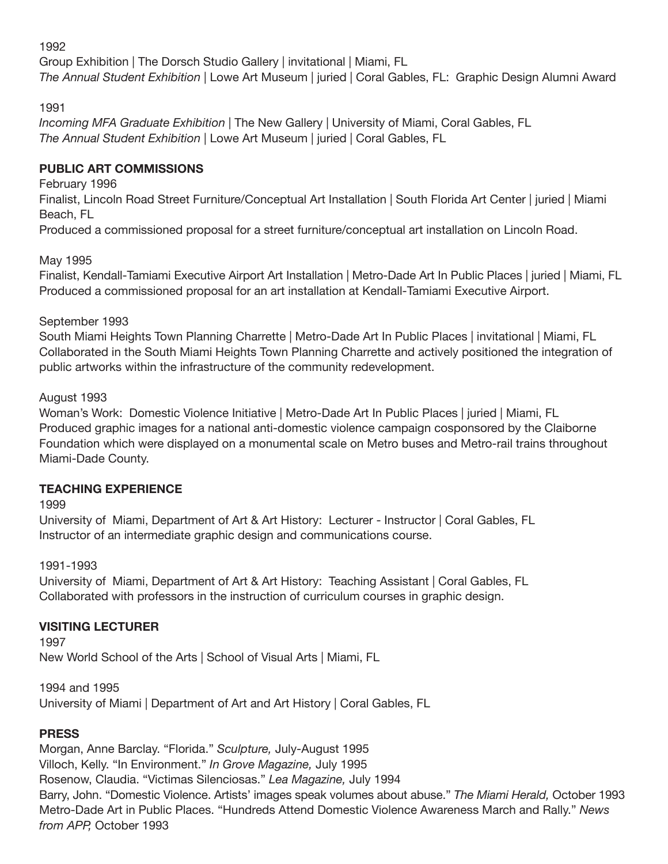1992

Group Exhibition | The Dorsch Studio Gallery | invitational | Miami, FL *The Annual Student Exhibition* | Lowe Art Museum | juried | Coral Gables, FL: Graphic Design Alumni Award

1991

*Incoming MFA Graduate Exhibition* | The New Gallery | University of Miami, Coral Gables, FL *The Annual Student Exhibition* | Lowe Art Museum | juried | Coral Gables, FL

# **PUBLIC ART COMMISSIONS**

February 1996

Finalist, Lincoln Road Street Furniture/Conceptual Art Installation | South Florida Art Center | juried | Miami Beach, FL

Produced a commissioned proposal for a street furniture/conceptual art installation on Lincoln Road.

May 1995

Finalist, Kendall-Tamiami Executive Airport Art Installation | Metro-Dade Art In Public Places | juried | Miami, FL Produced a commissioned proposal for an art installation at Kendall-Tamiami Executive Airport.

September 1993

South Miami Heights Town Planning Charrette | Metro-Dade Art In Public Places | invitational | Miami, FL Collaborated in the South Miami Heights Town Planning Charrette and actively positioned the integration of public artworks within the infrastructure of the community redevelopment.

August 1993

Woman's Work: Domestic Violence Initiative | Metro-Dade Art In Public Places | juried | Miami, FL Produced graphic images for a national anti-domestic violence campaign cosponsored by the Claiborne Foundation which were displayed on a monumental scale on Metro buses and Metro-rail trains throughout Miami-Dade County.

# **TEACHING EXPERIENCE**

1999

University of Miami, Department of Art & Art History: Lecturer - Instructor | Coral Gables, FL Instructor of an intermediate graphic design and communications course.

1991-1993

University of Miami, Department of Art & Art History: Teaching Assistant | Coral Gables, FL Collaborated with professors in the instruction of curriculum courses in graphic design.

# **VISITING LECTURER**

1997 New World School of the Arts | School of Visual Arts | Miami, FL

1994 and 1995 University of Miami | Department of Art and Art History | Coral Gables, FL

# **PRESS**

Morgan, Anne Barclay. "Florida." *Sculpture,* July-August 1995 Villoch, Kelly. "In Environment." *In Grove Magazine,* July 1995 Rosenow, Claudia. "Victimas Silenciosas." *Lea Magazine,* July 1994 Barry, John. "Domestic Violence. Artists' images speak volumes about abuse." *The Miami Herald,* October 1993 Metro-Dade Art in Public Places. "Hundreds Attend Domestic Violence Awareness March and Rally." *News from APP,* October 1993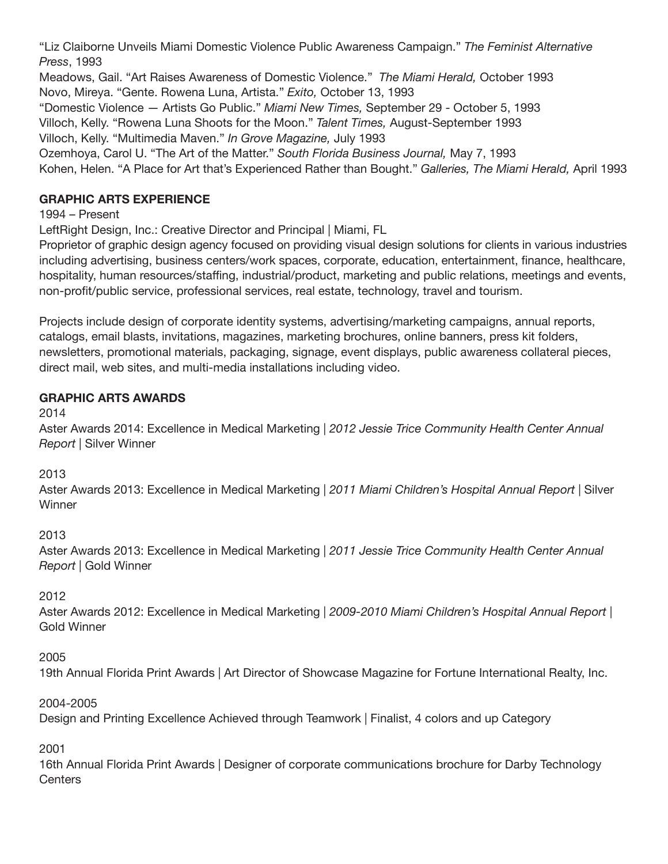"Liz Claiborne Unveils Miami Domestic Violence Public Awareness Campaign." *The Feminist Alternative Press*, 1993

Meadows, Gail. "Art Raises Awareness of Domestic Violence." *The Miami Herald,* October 1993 Novo, Mireya. "Gente. Rowena Luna, Artista." *Exito,* October 13, 1993

"Domestic Violence — Artists Go Public." *Miami New Times,* September 29 - October 5, 1993

Villoch, Kelly. "Rowena Luna Shoots for the Moon." *Talent Times,* August-September 1993

Villoch, Kelly. "Multimedia Maven." *In Grove Magazine,* July 1993

Ozemhoya, Carol U. "The Art of the Matter." *South Florida Business Journal,* May 7, 1993

Kohen, Helen. "A Place for Art that's Experienced Rather than Bought." *Galleries, The Miami Herald,* April 1993

# **GRAPHIC ARTS EXPERIENCE**

1994 – Present

LeftRight Design, Inc.: Creative Director and Principal | Miami, FL

Proprietor of graphic design agency focused on providing visual design solutions for clients in various industries including advertising, business centers/work spaces, corporate, education, entertainment, finance, healthcare, hospitality, human resources/staffing, industrial/product, marketing and public relations, meetings and events, non-profit/public service, professional services, real estate, technology, travel and tourism.

Projects include design of corporate identity systems, advertising/marketing campaigns, annual reports, catalogs, email blasts, invitations, magazines, marketing brochures, online banners, press kit folders, newsletters, promotional materials, packaging, signage, event displays, public awareness collateral pieces, direct mail, web sites, and multi-media installations including video.

# **GRAPHIC ARTS AWARDS**

2014

Aster Awards 2014: Excellence in Medical Marketing | *2012 Jessie Trice Community Health Center Annual Report* | Silver Winner

2013

Aster Awards 2013: Excellence in Medical Marketing | *2011 Miami Children's Hospital Annual Report* | Silver **Winner** 

2013

Aster Awards 2013: Excellence in Medical Marketing | *2011 Jessie Trice Community Health Center Annual Report* | Gold Winner

2012

Aster Awards 2012: Excellence in Medical Marketing | *2009-2010 Miami Children's Hospital Annual Report* | Gold Winner

2005

19th Annual Florida Print Awards | Art Director of Showcase Magazine for Fortune International Realty, Inc.

2004-2005

Design and Printing Excellence Achieved through Teamwork | Finalist, 4 colors and up Category

2001

16th Annual Florida Print Awards | Designer of corporate communications brochure for Darby Technology **Centers**